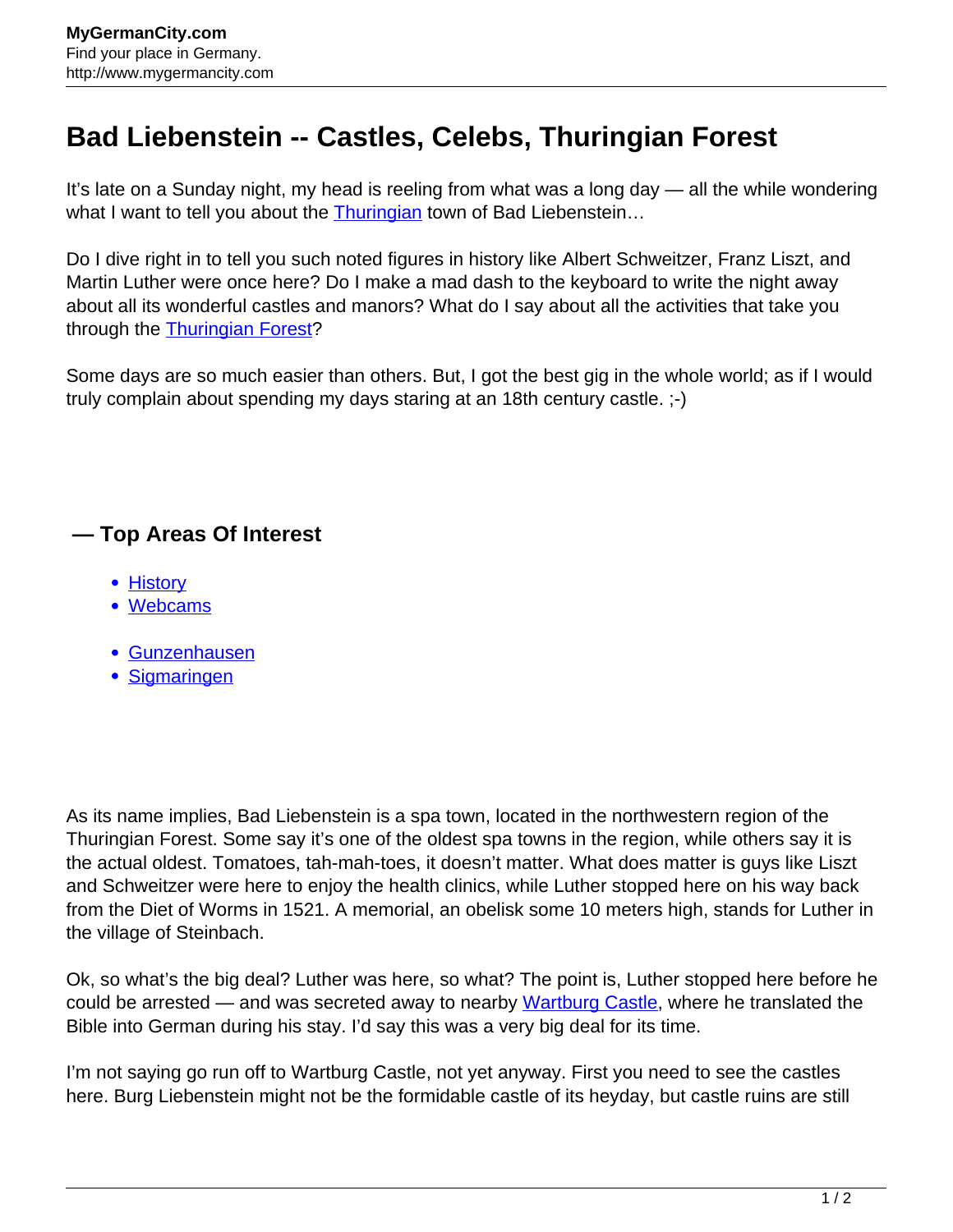## **Bad Liebenstein -- Castles, Celebs, Thuringian Forest**

It's late on a Sunday night, my head is reeling from what was a long day — all the while wondering what I want to tell you about the [Thuringian](http://www.mygermancity.com/thuringia) town of Bad Liebenstein...

Do I dive right in to tell you such noted figures in history like Albert Schweitzer, Franz Liszt, and Martin Luther were once here? Do I make a mad dash to the keyboard to write the night away about all its wonderful castles and manors? What do I say about all the activities that take you through the **[Thuringian Forest?](http://www.mygermancity.com/thuringian-forest)** 

Some days are so much easier than others. But, I got the best gig in the whole world; as if I would truly complain about spending my days staring at an 18th century castle. ;-)

## **— Top Areas Of Interest**

- [History](http://www.mygermancity.com/leipzig-history)
- [Webcams](http://www.mygermancity.com/neustadt-holstein-webcams)
- [Gunzenhausen](http://www.mygermancity.com/gunzenhausen)
- [Sigmaringen](http://www.mygermancity.com/sigmaringen)

As its name implies, Bad Liebenstein is a spa town, located in the northwestern region of the Thuringian Forest. Some say it's one of the oldest spa towns in the region, while others say it is the actual oldest. Tomatoes, tah-mah-toes, it doesn't matter. What does matter is guys like Liszt and Schweitzer were here to enjoy the health clinics, while Luther stopped here on his way back from the Diet of Worms in 1521. A memorial, an obelisk some 10 meters high, stands for Luther in the village of Steinbach.

Ok, so what's the big deal? Luther was here, so what? The point is, Luther stopped here before he could be arrested — and was secreted away to nearby [Wartburg Castle,](http://www.mygermancity.com/wartburg-castle) where he translated the Bible into German during his stay. I'd say this was a very big deal for its time.

I'm not saying go run off to Wartburg Castle, not yet anyway. First you need to see the castles here. Burg Liebenstein might not be the formidable castle of its heyday, but castle ruins are still